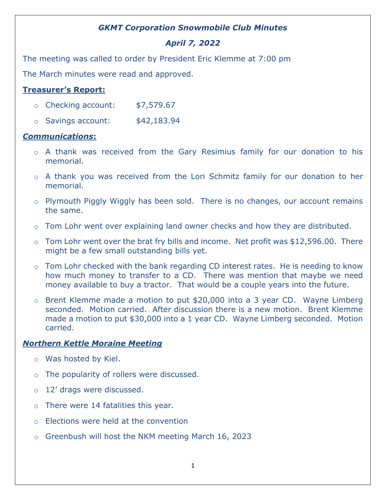## *GKMT Corporation Snowmobile Club Minutes*

# *April 7, 2022*

The meeting was called to order by President Eric Klemme at 7:00 pm

The March minutes were read and approved.

## **Treasurer's Report:**

- o Checking account: \$7,579.67
- $\circ$  Savings account:  $$42,183.94$

#### *Communications***:**

- o A thank was received from the Gary Resimius family for our donation to his memorial.
- o A thank you was received from the Lori Schmitz family for our donation to her memorial.
- o Plymouth Piggly Wiggly has been sold. There is no changes, our account remains the same.
- o Tom Lohr went over explaining land owner checks and how they are distributed.
- $\circ$  Tom Lohr went over the brat fry bills and income. Net profit was \$12,596.00. There might be a few small outstanding bills yet.
- o Tom Lohr checked with the bank regarding CD interest rates. He is needing to know how much money to transfer to a CD. There was mention that maybe we need money available to buy a tractor. That would be a couple years into the future.
- $\circ$  Brent Klemme made a motion to put \$20,000 into a 3 year CD. Wayne Limberg seconded. Motion carried. After discussion there is a new motion. Brent Klemme made a motion to put \$30,000 into a 1 year CD. Wayne Limberg seconded. Motion carried.

## *Northern Kettle Moraine Meeting*

- o Was hosted by Kiel.
- o The popularity of rollers were discussed.
- o 12' drags were discussed.
- $\circ$  There were 14 fatalities this year.
- o Elections were held at the convention
- o Greenbush will host the NKM meeting March 16, 2023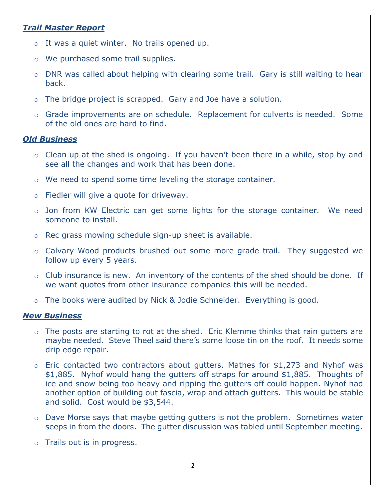## *Trail Master Report*

- $\circ$  It was a quiet winter. No trails opened up.
- o We purchased some trail supplies.
- o DNR was called about helping with clearing some trail. Gary is still waiting to hear back.
- o The bridge project is scrapped. Gary and Joe have a solution.
- o Grade improvements are on schedule. Replacement for culverts is needed. Some of the old ones are hard to find.

#### *Old Business*

- $\circ$  Clean up at the shed is ongoing. If you haven't been there in a while, stop by and see all the changes and work that has been done.
- $\circ$  We need to spend some time leveling the storage container.
- o Fiedler will give a quote for driveway.
- o Jon from KW Electric can get some lights for the storage container. We need someone to install.
- o Rec grass mowing schedule sign-up sheet is available.
- o Calvary Wood products brushed out some more grade trail. They suggested we follow up every 5 years.
- o Club insurance is new. An inventory of the contents of the shed should be done. If we want quotes from other insurance companies this will be needed.
- o The books were audited by Nick & Jodie Schneider. Everything is good.

#### *New Business*

- $\circ$  The posts are starting to rot at the shed. Eric Klemme thinks that rain gutters are maybe needed. Steve Theel said there's some loose tin on the roof. It needs some drip edge repair.
- $\circ$  Eric contacted two contractors about gutters. Mathes for \$1,273 and Nyhof was \$1,885. Nyhof would hang the gutters off straps for around \$1,885. Thoughts of ice and snow being too heavy and ripping the gutters off could happen. Nyhof had another option of building out fascia, wrap and attach gutters. This would be stable and solid. Cost would be \$3,544.
- o Dave Morse says that maybe getting gutters is not the problem. Sometimes water seeps in from the doors. The gutter discussion was tabled until September meeting.
- o Trails out is in progress.